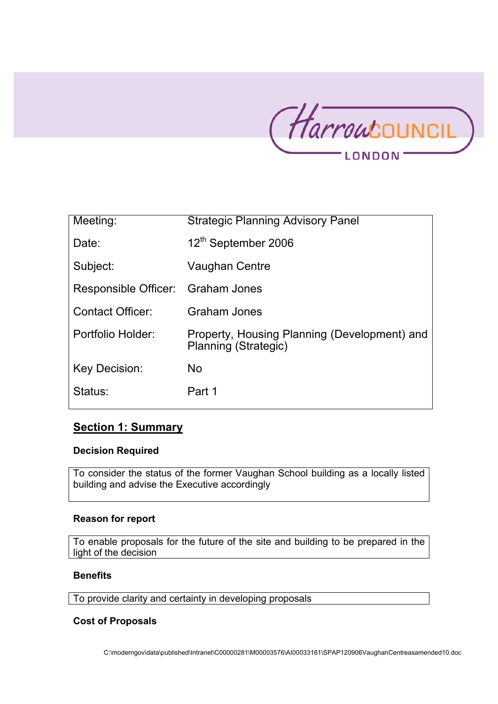

| Meeting:                          | <b>Strategic Planning Advisory Panel</b>                                    |
|-----------------------------------|-----------------------------------------------------------------------------|
| Date:                             | 12 <sup>th</sup> September 2006                                             |
| Subject:                          | Vaughan Centre                                                              |
| Responsible Officer: Graham Jones |                                                                             |
| <b>Contact Officer:</b>           | <b>Graham Jones</b>                                                         |
| Portfolio Holder:                 | Property, Housing Planning (Development) and<br><b>Planning (Strategic)</b> |
| Key Decision:                     | No.                                                                         |
| Status:                           | Part 1                                                                      |

# **Section 1: Summary**

## **Decision Required**

To consider the status of the former Vaughan School building as a locally listed building and advise the Executive accordingly

## **Reason for report**

To enable proposals for the future of the site and building to be prepared in the light of the decision

## **Benefits**

To provide clarity and certainty in developing proposals

## **Cost of Proposals**

C:\moderngov\data\published\Intranet\C00000281\M00003576\AI00033161\SPAP120906VaughanCentreasamended10.doc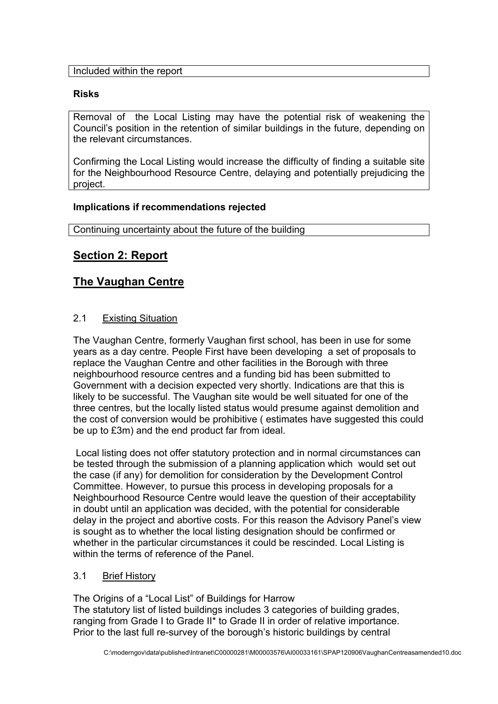Included within the report

# **Risks**

Removal of the Local Listing may have the potential risk of weakening the Council's position in the retention of similar buildings in the future, depending on the relevant circumstances.

Confirming the Local Listing would increase the difficulty of finding a suitable site for the Neighbourhood Resource Centre, delaying and potentially prejudicing the project.

## **Implications if recommendations rejected**

Continuing uncertainty about the future of the building

# **Section 2: Report**

# **The Vaughan Centre**

# 2.1 Existing Situation

The Vaughan Centre, formerly Vaughan first school, has been in use for some years as a day centre. People First have been developing a set of proposals to replace the Vaughan Centre and other facilities in the Borough with three neighbourhood resource centres and a funding bid has been submitted to Government with a decision expected very shortly. Indications are that this is likely to be successful. The Vaughan site would be well situated for one of the three centres, but the locally listed status would presume against demolition and the cost of conversion would be prohibitive ( estimates have suggested this could be up to £3m) and the end product far from ideal.

 Local listing does not offer statutory protection and in normal circumstances can be tested through the submission of a planning application which would set out the case (if any) for demolition for consideration by the Development Control Committee. However, to pursue this process in developing proposals for a Neighbourhood Resource Centre would leave the question of their acceptability in doubt until an application was decided, with the potential for considerable delay in the project and abortive costs. For this reason the Advisory Panel's view is sought as to whether the local listing designation should be confirmed or whether in the particular circumstances it could be rescinded. Local Listing is within the terms of reference of the Panel.

# 3.1 Brief History

The Origins of a "Local List" of Buildings for Harrow The statutory list of listed buildings includes 3 categories of building grades, ranging from Grade I to Grade II<sup>\*</sup> to Grade II in order of relative importance. Prior to the last full re-survey of the borough's historic buildings by central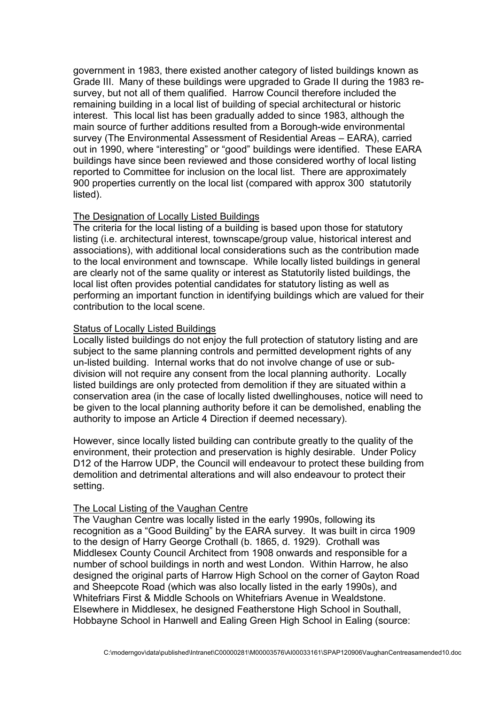government in 1983, there existed another category of listed buildings known as Grade III. Many of these buildings were upgraded to Grade II during the 1983 resurvey, but not all of them qualified. Harrow Council therefore included the remaining building in a local list of building of special architectural or historic interest. This local list has been gradually added to since 1983, although the main source of further additions resulted from a Borough-wide environmental survey (The Environmental Assessment of Residential Areas – EARA), carried out in 1990, where "interesting" or "good" buildings were identified. These EARA buildings have since been reviewed and those considered worthy of local listing reported to Committee for inclusion on the local list. There are approximately 900 properties currently on the local list (compared with approx 300 statutorily listed).

#### The Designation of Locally Listed Buildings

The criteria for the local listing of a building is based upon those for statutory listing (i.e. architectural interest, townscape/group value, historical interest and associations), with additional local considerations such as the contribution made to the local environment and townscape. While locally listed buildings in general are clearly not of the same quality or interest as Statutorily listed buildings, the local list often provides potential candidates for statutory listing as well as performing an important function in identifying buildings which are valued for their contribution to the local scene.

#### Status of Locally Listed Buildings

Locally listed buildings do not enjoy the full protection of statutory listing and are subject to the same planning controls and permitted development rights of any un-listed building. Internal works that do not involve change of use or subdivision will not require any consent from the local planning authority. Locally listed buildings are only protected from demolition if they are situated within a conservation area (in the case of locally listed dwellinghouses, notice will need to be given to the local planning authority before it can be demolished, enabling the authority to impose an Article 4 Direction if deemed necessary).

However, since locally listed building can contribute greatly to the quality of the environment, their protection and preservation is highly desirable. Under Policy D12 of the Harrow UDP, the Council will endeavour to protect these building from demolition and detrimental alterations and will also endeavour to protect their setting.

#### The Local Listing of the Vaughan Centre

The Vaughan Centre was locally listed in the early 1990s, following its recognition as a "Good Building" by the EARA survey. It was built in circa 1909 to the design of Harry George Crothall (b. 1865, d. 1929). Crothall was Middlesex County Council Architect from 1908 onwards and responsible for a number of school buildings in north and west London. Within Harrow, he also designed the original parts of Harrow High School on the corner of Gayton Road and Sheepcote Road (which was also locally listed in the early 1990s), and Whitefriars First & Middle Schools on Whitefriars Avenue in Wealdstone. Elsewhere in Middlesex, he designed Featherstone High School in Southall, Hobbayne School in Hanwell and Ealing Green High School in Ealing (source: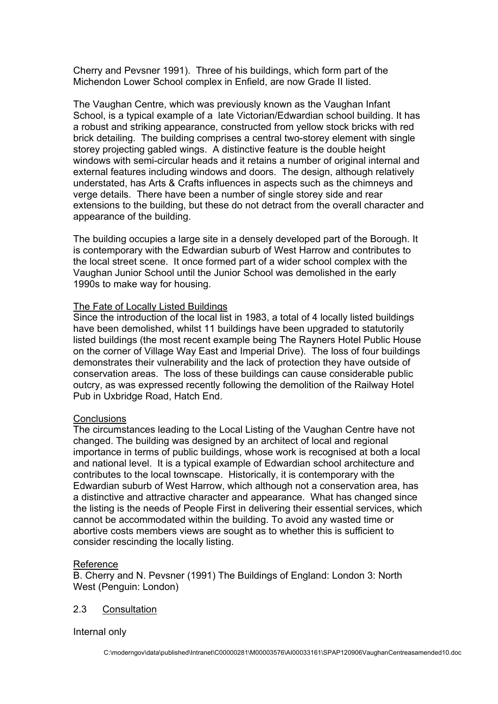Cherry and Pevsner 1991). Three of his buildings, which form part of the Michendon Lower School complex in Enfield, are now Grade II listed.

The Vaughan Centre, which was previously known as the Vaughan Infant School, is a typical example of a late Victorian/Edwardian school building. It has a robust and striking appearance, constructed from yellow stock bricks with red brick detailing. The building comprises a central two-storey element with single storey projecting gabled wings. A distinctive feature is the double height windows with semi-circular heads and it retains a number of original internal and external features including windows and doors. The design, although relatively understated, has Arts & Crafts influences in aspects such as the chimneys and verge details. There have been a number of single storey side and rear extensions to the building, but these do not detract from the overall character and appearance of the building.

The building occupies a large site in a densely developed part of the Borough. It is contemporary with the Edwardian suburb of West Harrow and contributes to the local street scene. It once formed part of a wider school complex with the Vaughan Junior School until the Junior School was demolished in the early 1990s to make way for housing.

## The Fate of Locally Listed Buildings

Since the introduction of the local list in 1983, a total of 4 locally listed buildings have been demolished, whilst 11 buildings have been upgraded to statutorily listed buildings (the most recent example being The Rayners Hotel Public House on the corner of Village Way East and Imperial Drive). The loss of four buildings demonstrates their vulnerability and the lack of protection they have outside of conservation areas. The loss of these buildings can cause considerable public outcry, as was expressed recently following the demolition of the Railway Hotel Pub in Uxbridge Road, Hatch End.

## **Conclusions**

The circumstances leading to the Local Listing of the Vaughan Centre have not changed. The building was designed by an architect of local and regional importance in terms of public buildings, whose work is recognised at both a local and national level. It is a typical example of Edwardian school architecture and contributes to the local townscape. Historically, it is contemporary with the Edwardian suburb of West Harrow, which although not a conservation area, has a distinctive and attractive character and appearance. What has changed since the listing is the needs of People First in delivering their essential services, which cannot be accommodated within the building. To avoid any wasted time or abortive costs members views are sought as to whether this is sufficient to consider rescinding the locally listing.

## Reference

B. Cherry and N. Pevsner (1991) The Buildings of England: London 3: North West (Penguin: London)

## 2.3 Consultation

Internal only